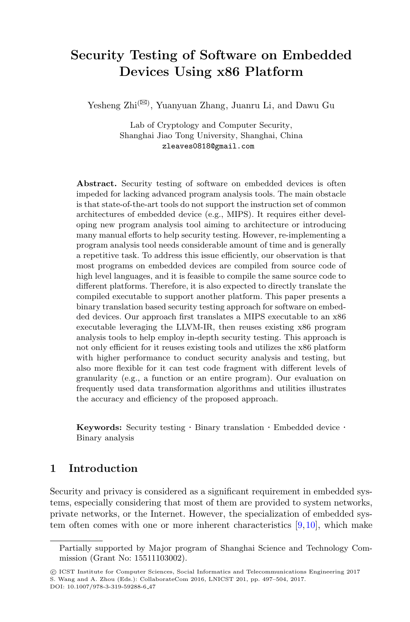# **Security Testing of Software on Embedded Devices Using x86 Platform**

Yesheng  $\text{Zhi}^{(\boxtimes)}$ , Yuanyuan Zhang, Juanru Li, and Dawu Gu

Lab of Cryptology and Computer Security, Shanghai Jiao Tong University, Shanghai, China zleaves0818@gmail.com

Abstract. Security testing of software on embedded devices is often impeded for lacking advanced program analysis tools. The main obstacle is that state-of-the-art tools do not support the instruction set of common architectures of embedded device (e.g., MIPS). It requires either developing new program analysis tool aiming to architecture or introducing many manual efforts to help security testing. However, re-implementing a program analysis tool needs considerable amount of time and is generally a repetitive task. To address this issue efficiently, our observation is that most programs on embedded devices are compiled from source code of high level languages, and it is feasible to compile the same source code to different platforms. Therefore, it is also expected to directly translate the compiled executable to support another platform. This paper presents a binary translation based security testing approach for software on embedded devices. Our approach first translates a MIPS executable to an x86 executable leveraging the LLVM-IR, then reuses existing x86 program analysis tools to help employ in-depth security testing. This approach is not only efficient for it reuses existing tools and utilizes the x86 platform with higher performance to conduct security analysis and testing, but also more flexible for it can test code fragment with different levels of granularity (e.g., a function or an entire program). Our evaluation on frequently used data transformation algorithms and utilities illustrates the accuracy and efficiency of the proposed approach.

**Keywords:** Security testing  $\cdot$  Binary translation  $\cdot$  Embedded device  $\cdot$  Binary analysis

#### **1 Introduction**

Security and privacy is considered as a significant requirement in embedded systems, especially considering that most of them are provided to system networks, private networks, or the Internet. However, the specialization of embedded system often comes with one or more inherent characteristics  $[9,10]$  $[9,10]$ , which make

Partially supported by Major program of Shanghai Science and Technology Commission (Grant No: 15511103002).

<sup>©</sup> ICST Institute for Computer Sciences, Social Informatics and Telecommunications Engineering 2017 S. Wang and A. Zhou (Eds.): CollaborateCom 2016, LNICST 201, pp. 497–504, 2017. DOI: 10.1007/978-3-319-59288-6 47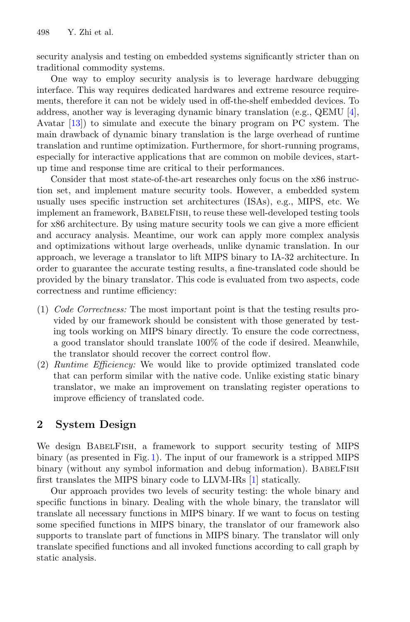security analysis and testing on embedded systems significantly stricter than on traditional commodity systems.

One way to employ security analysis is to leverage hardware debugging interface. This way requires dedicated hardwares and extreme resource requirements, therefore it can not be widely used in off-the-shelf embedded devices. To address, another way is leveraging dynamic binary translation (e.g., QEMU [\[4\]](#page-7-2), Avatar [\[13](#page-7-3)]) to simulate and execute the binary program on PC system. The main drawback of dynamic binary translation is the large overhead of runtime translation and runtime optimization. Furthermore, for short-running programs, especially for interactive applications that are common on mobile devices, startup time and response time are critical to their performances.

Consider that most state-of-the-art researches only focus on the x86 instruction set, and implement mature security tools. However, a embedded system usually uses specific instruction set architectures (ISAs), e.g., MIPS, etc. We implement an framework, BABELFISH, to reuse these well-developed testing tools for x86 architecture. By using mature security tools we can give a more efficient and accuracy analysis. Meantime, our work can apply more complex analysis and optimizations without large overheads, unlike dynamic translation. In our approach, we leverage a translator to lift MIPS binary to IA-32 architecture. In order to guarantee the accurate testing results, a fine-translated code should be provided by the binary translator. This code is evaluated from two aspects, code correctness and runtime efficiency:

- (1) *Code Correctness:* The most important point is that the testing results provided by our framework should be consistent with those generated by testing tools working on MIPS binary directly. To ensure the code correctness, a good translator should translate 100% of the code if desired. Meanwhile, the translator should recover the correct control flow.
- (2) *Runtime Efficiency:* We would like to provide optimized translated code that can perform similar with the native code. Unlike existing static binary translator, we make an improvement on translating register operations to improve efficiency of translated code.

### **2 System Design**

We design BABELFISH, a framework to support security testing of MIPS binary (as presented in Fig. [1\)](#page-2-0). The input of our framework is a stripped MIPS binary (without any symbol information and debug information). BABELFISH first translates the MIPS binary code to LLVM-IRs [\[1\]](#page-7-4) statically.

Our approach provides two levels of security testing: the whole binary and specific functions in binary. Dealing with the whole binary, the translator will translate all necessary functions in MIPS binary. If we want to focus on testing some specified functions in MIPS binary, the translator of our framework also supports to translate part of functions in MIPS binary. The translator will only translate specified functions and all invoked functions according to call graph by static analysis.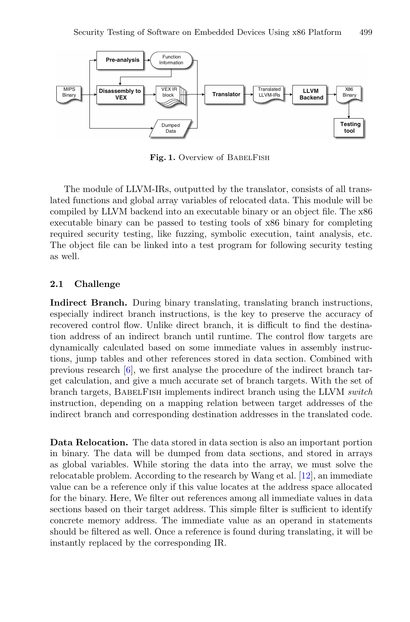

<span id="page-2-0"></span>Fig. 1. Overview of BABELFISH

The module of LLVM-IRs, outputted by the translator, consists of all translated functions and global array variables of relocated data. This module will be compiled by LLVM backend into an executable binary or an object file. The x86 executable binary can be passed to testing tools of x86 binary for completing required security testing, like fuzzing, symbolic execution, taint analysis, etc. The object file can be linked into a test program for following security testing as well.

#### **2.1 Challenge**

**Indirect Branch.** During binary translating, translating branch instructions, especially indirect branch instructions, is the key to preserve the accuracy of recovered control flow. Unlike direct branch, it is difficult to find the destination address of an indirect branch until runtime. The control flow targets are dynamically calculated based on some immediate values in assembly instructions, jump tables and other references stored in data section. Combined with previous research [\[6](#page-7-5)], we first analyse the procedure of the indirect branch target calculation, and give a much accurate set of branch targets. With the set of branch targets, BabelFish implements indirect branch using the LLVM *switch* instruction, depending on a mapping relation between target addresses of the indirect branch and corresponding destination addresses in the translated code.

**Data Relocation.** The data stored in data section is also an important portion in binary. The data will be dumped from data sections, and stored in arrays as global variables. While storing the data into the array, we must solve the relocatable problem. According to the research by Wang et al. [\[12\]](#page-7-6), an immediate value can be a reference only if this value locates at the address space allocated for the binary. Here, We filter out references among all immediate values in data sections based on their target address. This simple filter is sufficient to identify concrete memory address. The immediate value as an operand in statements should be filtered as well. Once a reference is found during translating, it will be instantly replaced by the corresponding IR.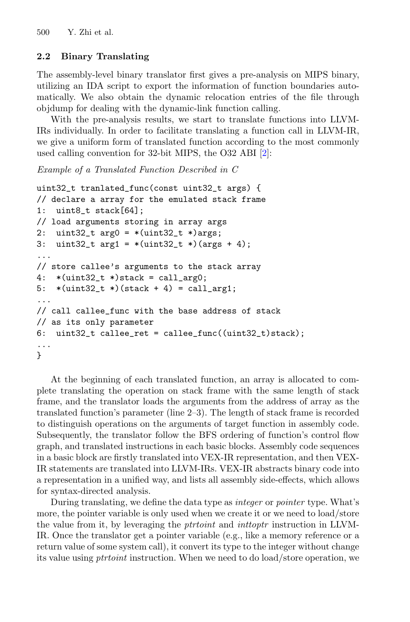#### **2.2 Binary Translating**

The assembly-level binary translator first gives a pre-analysis on MIPS binary, utilizing an IDA script to export the information of function boundaries automatically. We also obtain the dynamic relocation entries of the file through objdump for dealing with the dynamic-link function calling.

With the pre-analysis results, we start to translate functions into LLVM-IRs individually. In order to facilitate translating a function call in LLVM-IR, we give a uniform form of translated function according to the most commonly used calling convention for 32-bit MIPS, the O32 ABI [\[2](#page-7-7)]:

*Example of a Translated Function Described in C*

```
uint32_t tranlated_func(const uint32_t args) {
// declare a array for the emulated stack frame
1: uint8_t stack[64];
// load arguments storing in array args
2: uint32_t arg0 = *(uint32_t *)args;
3: uint32_t arg1 = *(uint32_t *)(args + 4);...
// store callee's arguments to the stack array
4: *(uint32_t *)stack = call_arg0;
5: *(uint32_t *)(stack + 4) = call_{arg1};...
// call callee_func with the base address of stack
// as its only parameter
6: uint32_t callee_ret = callee_func((uint32_t)stack);
...
}
```
At the beginning of each translated function, an array is allocated to complete translating the operation on stack frame with the same length of stack frame, and the translator loads the arguments from the address of array as the translated function's parameter (line 2–3). The length of stack frame is recorded to distinguish operations on the arguments of target function in assembly code. Subsequently, the translator follow the BFS ordering of function's control flow graph, and translated instructions in each basic blocks. Assembly code sequences in a basic block are firstly translated into VEX-IR representation, and then VEX-IR statements are translated into LLVM-IRs. VEX-IR abstracts binary code into a representation in a unified way, and lists all assembly side-effects, which allows for syntax-directed analysis.

During translating, we define the data type as *integer* or *pointer* type. What's more, the pointer variable is only used when we create it or we need to load/store the value from it, by leveraging the *ptrtoint* and *inttoptr* instruction in LLVM-IR. Once the translator get a pointer variable (e.g., like a memory reference or a return value of some system call), it convert its type to the integer without change its value using *ptrtoint* instruction. When we need to do load/store operation, we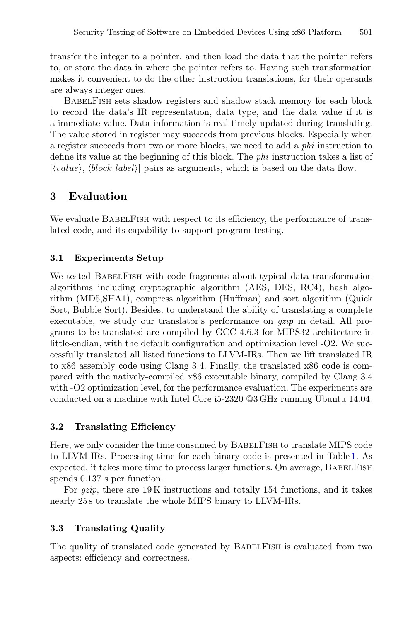transfer the integer to a pointer, and then load the data that the pointer refers to, or store the data in where the pointer refers to. Having such transformation makes it convenient to do the other instruction translations, for their operands are always integer ones.

BabelFish sets shadow registers and shadow stack memory for each block to record the data's IR representation, data type, and the data value if it is a immediate value. Data information is real-timely updated during translating. The value stored in register may succeeds from previous blocks. Especially when a register succeeds from two or more blocks, we need to add a *phi* instruction to define its value at the beginning of this block. The *phi* instruction takes a list of  $[\langle value \rangle, \langle block \text{.} \rangle]$  pairs as arguments, which is based on the data flow.

### **3 Evaluation**

We evaluate BABELFISH with respect to its efficiency, the performance of translated code, and its capability to support program testing.

#### **3.1 Experiments Setup**

We tested BABELFISH with code fragments about typical data transformation algorithms including cryptographic algorithm (AES, DES, RC4), hash algorithm (MD5,SHA1), compress algorithm (Huffman) and sort algorithm (Quick Sort, Bubble Sort). Besides, to understand the ability of translating a complete executable, we study our translator's performance on *gzip* in detail. All programs to be translated are compiled by GCC 4.6.3 for MIPS32 architecture in little-endian, with the default configuration and optimization level -O2. We successfully translated all listed functions to LLVM-IRs. Then we lift translated IR to x86 assembly code using Clang 3.4. Finally, the translated x86 code is compared with the natively-compiled x86 executable binary, compiled by Clang 3.4 with -O2 optimization level, for the performance evaluation. The experiments are conducted on a machine with Intel Core i5-2320 @3 GHz running Ubuntu 14.04.

#### **3.2 Translating Efficiency**

Here, we only consider the time consumed by BABELFISH to translate MIPS code to LLVM-IRs. Processing time for each binary code is presented in Table [1.](#page-5-0) As expected, it takes more time to process larger functions. On average, BABELFISH spends 0.137 s per function.

For *gzip*, there are 19 K instructions and totally 154 functions, and it takes nearly 25 s to translate the whole MIPS binary to LLVM-IRs.

### **3.3 Translating Quality**

The quality of translated code generated by BabelFish is evaluated from two aspects: efficiency and correctness.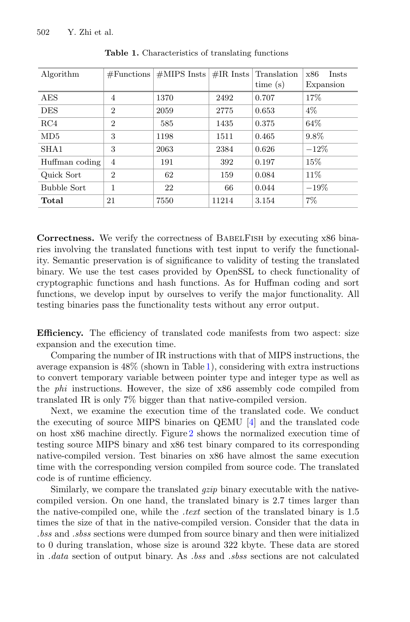| Algorithm        | #Functions     | $#MIPS$ Insts | $#IR$ Insts | Translation<br>time(s) | x86<br>Insts<br>Expansion |
|------------------|----------------|---------------|-------------|------------------------|---------------------------|
| AES              | $\overline{4}$ | 1370          | 2492        | 0.707                  | 17%                       |
| <b>DES</b>       | $\overline{2}$ | 2059          | 2775        | 0.653                  | $4\%$                     |
| RC4              | $\overline{2}$ | 585           | 1435        | 0.375                  | 64\%                      |
| MD5              | 3              | 1198          | 1511        | 0.465                  | $9.8\%$                   |
| SHA <sub>1</sub> | 3              | 2063          | 2384        | 0.626                  | $-12%$                    |
| Huffman coding   | $\overline{4}$ | 191           | 392         | 0.197                  | 15%                       |
| Quick Sort       | $\overline{2}$ | 62            | 159         | 0.084                  | 11\%                      |
| Bubble Sort      | 1              | 22            | 66          | 0.044                  | $-19%$                    |
| Total            | 21             | 7550          | 11214       | 3.154                  | $7\%$                     |

<span id="page-5-0"></span>**Table 1.** Characteristics of translating functions

**Correctness.** We verify the correctness of BABELFISH by executing x86 binaries involving the translated functions with test input to verify the functionality. Semantic preservation is of significance to validity of testing the translated binary. We use the test cases provided by OpenSSL to check functionality of cryptographic functions and hash functions. As for Huffman coding and sort functions, we develop input by ourselves to verify the major functionality. All testing binaries pass the functionality tests without any error output.

**Efficiency.** The efficiency of translated code manifests from two aspect: size expansion and the execution time.

Comparing the number of IR instructions with that of MIPS instructions, the average expansion is  $48\%$  (shown in Table [1\)](#page-5-0), considering with extra instructions to convert temporary variable between pointer type and integer type as well as the *phi* instructions. However, the size of x86 assembly code compiled from translated IR is only 7% bigger than that native-compiled version.

Next, we examine the execution time of the translated code. We conduct the executing of source MIPS binaries on QEMU [\[4](#page-7-2)] and the translated code on host x86 machine directly. Figure [2](#page-6-0) shows the normalized execution time of testing source MIPS binary and x86 test binary compared to its corresponding native-compiled version. Test binaries on x86 have almost the same execution time with the corresponding version compiled from source code. The translated code is of runtime efficiency.

Similarly, we compare the translated *gzip* binary executable with the nativecompiled version. On one hand, the translated binary is 2.7 times larger than the native-compiled one, while the *.text* section of the translated binary is 1.5 times the size of that in the native-compiled version. Consider that the data in *.bss* and *.sbss* sections were dumped from source binary and then were initialized to 0 during translation, whose size is around 322 kbyte. These data are stored in *.data* section of output binary. As *.bss* and *.sbss* sections are not calculated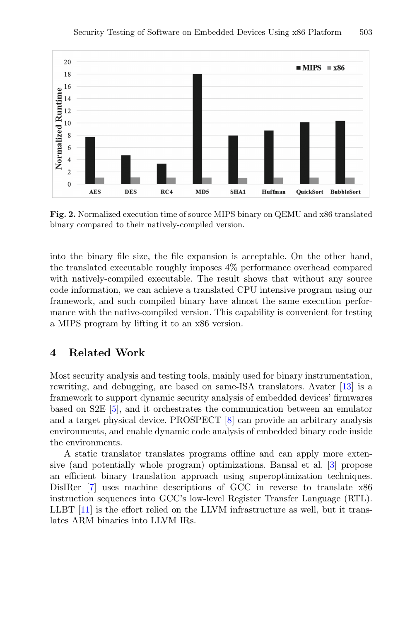

<span id="page-6-0"></span>**Fig. 2.** Normalized execution time of source MIPS binary on QEMU and x86 translated binary compared to their natively-compiled version.

into the binary file size, the file expansion is acceptable. On the other hand, the translated executable roughly imposes 4% performance overhead compared with natively-compiled executable. The result shows that without any source code information, we can achieve a translated CPU intensive program using our framework, and such compiled binary have almost the same execution performance with the native-compiled version. This capability is convenient for testing a MIPS program by lifting it to an x86 version.

#### **4 Related Work**

Most security analysis and testing tools, mainly used for binary instrumentation, rewriting, and debugging, are based on same-ISA translators. Avater [\[13\]](#page-7-3) is a framework to support dynamic security analysis of embedded devices' firmwares based on S2E [\[5\]](#page-7-8), and it orchestrates the communication between an emulator and a target physical device. PROSPECT [\[8\]](#page-7-9) can provide an arbitrary analysis environments, and enable dynamic code analysis of embedded binary code inside the environments.

A static translator translates programs offline and can apply more extensive (and potentially whole program) optimizations. Bansal et al. [\[3\]](#page-7-10) propose an efficient binary translation approach using superoptimization techniques. DisIRer [\[7\]](#page-7-11) uses machine descriptions of GCC in reverse to translate x86 instruction sequences into GCC's low-level Register Transfer Language (RTL). LLBT [\[11](#page-7-12)] is the effort relied on the LLVM infrastructure as well, but it translates ARM binaries into LLVM IRs.